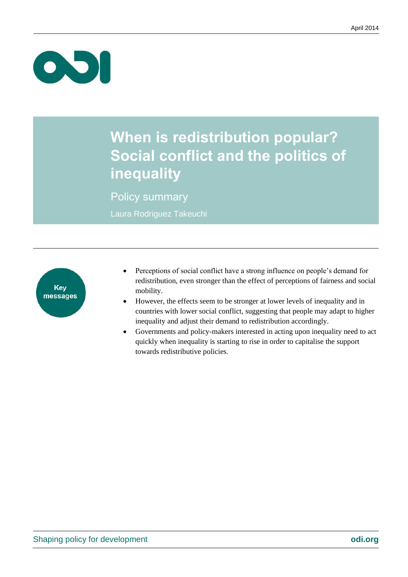

## **When is redistribution popular? Social conflict and the politics of inequality**

Policy summary

Laura Rodriguez Takeuchi

Key messages

- Perceptions of social conflict have a strong influence on people's demand for redistribution, even stronger than the effect of perceptions of fairness and social mobility.
- However, the effects seem to be stronger at lower levels of inequality and in countries with lower social conflict, suggesting that people may adapt to higher inequality and adjust their demand to redistribution accordingly.
- Governments and policy-makers interested in acting upon inequality need to act quickly when inequality is starting to rise in order to capitalise the support towards redistributive policies.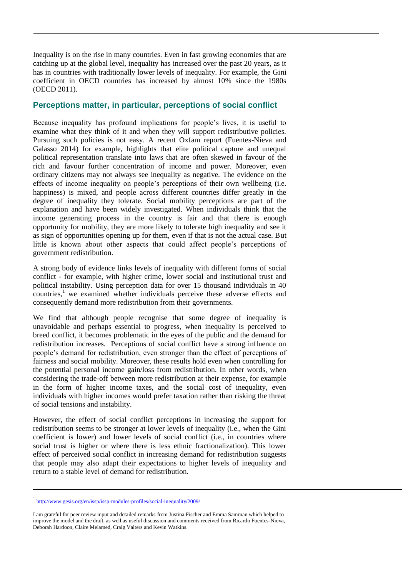Inequality is on the rise in many countries. Even in fast growing economies that are catching up at the global level, inequality has increased over the past 20 years, as it has in countries with traditionally lower levels of inequality. For example, the Gini coefficient in OECD countries has increased by almost 10% since the 1980s (OECD 2011).

## **Perceptions matter, in particular, perceptions of social conflict**

Because inequality has profound implications for people's lives, it is useful to examine what they think of it and when they will support redistributive policies. Pursuing such policies is not easy. A recent Oxfam report (Fuentes-Nieva and Galasso 2014) for example, highlights that elite political capture and unequal political representation translate into laws that are often skewed in favour of the rich and favour further concentration of income and power. Moreover, even ordinary citizens may not always see inequality as negative. The evidence on the effects of income inequality on people's perceptions of their own wellbeing (i.e. happiness) is mixed, and people across different countries differ greatly in the degree of inequality they tolerate. Social mobility perceptions are part of the explanation and have been widely investigated. When individuals think that the income generating process in the country is fair and that there is enough opportunity for mobility, they are more likely to tolerate high inequality and see it as sign of opportunities opening up for them, even if that is not the actual case. But little is known about other aspects that could affect people's perceptions of government redistribution.

A strong body of evidence links levels of inequality with different forms of social conflict - for example, with higher crime, lower social and institutional trust and political instability. Using perception data for over 15 thousand individuals in 40 countries,<sup>1</sup> we examined whether individuals perceive these adverse effects and consequently demand more redistribution from their governments.

We find that although people recognise that some degree of inequality is unavoidable and perhaps essential to progress, when inequality is perceived to breed conflict, it becomes problematic in the eyes of the public and the demand for redistribution increases. Perceptions of social conflict have a strong influence on people's demand for redistribution, even stronger than the effect of perceptions of fairness and social mobility. Moreover, these results hold even when controlling for the potential personal income gain/loss from redistribution. In other words, when considering the trade-off between more redistribution at their expense, for example in the form of higher income taxes, and the social cost of inequality, even individuals with higher incomes would prefer taxation rather than risking the threat of social tensions and instability.

However, the effect of social conflict perceptions in increasing the support for redistribution seems to be stronger at lower levels of inequality (i.e., when the Gini coefficient is lower) and lower levels of social conflict (i.e., in countries where social trust is higher or where there is less ethnic fractionalization). This lower effect of perceived social conflict in increasing demand for redistribution suggests that people may also adapt their expectations to higher levels of inequality and return to a stable level of demand for redistribution.

<sup>&</sup>lt;sup>1</sup> <http://www.gesis.org/en/issp/issp-modules-profiles/social-inequality/2009/>

I am grateful for peer review input and detailed remarks from Justina Fischer and Emma Samman which helped to improve the model and the draft, as well as useful discussion and comments received from Ricardo Fuentes-Nieva, Deborah Hardoon, Claire Melamed, Craig Valters and Kevin Watkins.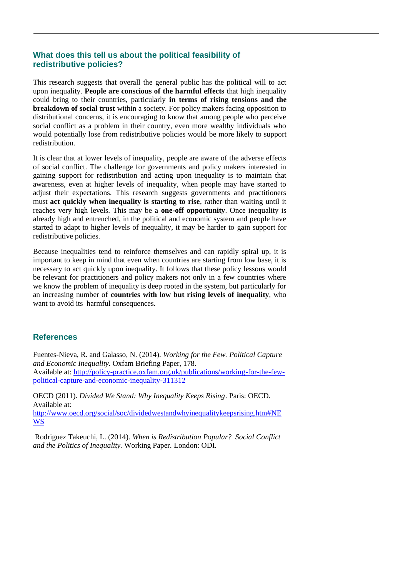## **What does this tell us about the political feasibility of redistributive policies?**

This research suggests that overall the general public has the political will to act upon inequality. **People are conscious of the harmful effects** that high inequality could bring to their countries, particularly **in terms of rising tensions and the breakdown of social trust** within a society. For policy makers facing opposition to distributional concerns, it is encouraging to know that among people who perceive social conflict as a problem in their country, even more wealthy individuals who would potentially lose from redistributive policies would be more likely to support redistribution.

It is clear that at lower levels of inequality, people are aware of the adverse effects of social conflict. The challenge for governments and policy makers interested in gaining support for redistribution and acting upon inequality is to maintain that awareness, even at higher levels of inequality, when people may have started to adjust their expectations. This research suggests governments and practitioners must **act quickly when inequality is starting to rise**, rather than waiting until it reaches very high levels. This may be a **one-off opportunity**. Once inequality is already high and entrenched, in the political and economic system and people have started to adapt to higher levels of inequality, it may be harder to gain support for redistributive policies.

Because inequalities tend to reinforce themselves and can rapidly spiral up, it is important to keep in mind that even when countries are starting from low base, it is necessary to act quickly upon inequality. It follows that these policy lessons would be relevant for practitioners and policy makers not only in a few countries where we know the problem of inequality is deep rooted in the system, but particularly for an increasing number of **countries with low but rising levels of inequality**, who want to avoid its harmful consequences.

## **References**

Fuentes-Nieva, R. and Galasso, N. (2014). *Working for the Few. Political Capture and Economic Inequality*. Oxfam Briefing Paper, 178. Available at: [http://policy-practice.oxfam.org.uk/publications/working-for-the-few](http://policy-practice.oxfam.org.uk/publications/working-for-the-few-political-capture-and-economic-inequality-311312)[political-capture-and-economic-inequality-311312](http://policy-practice.oxfam.org.uk/publications/working-for-the-few-political-capture-and-economic-inequality-311312)

OECD (2011). *Divided We Stand: Why Inequality Keeps Rising*. Paris: OECD. Available at:

[http://www.oecd.org/social/soc/dividedwestandwhyinequalitykeepsrising.htm#NE](http://www.oecd.org/social/soc/dividedwestandwhyinequalitykeepsrising.htm#NEWS) [WS](http://www.oecd.org/social/soc/dividedwestandwhyinequalitykeepsrising.htm#NEWS)

Rodriguez Takeuchi, L. (2014). *When is Redistribution Popular? Social Conflict and the Politics of Inequality.* Working Paper. London: ODI.